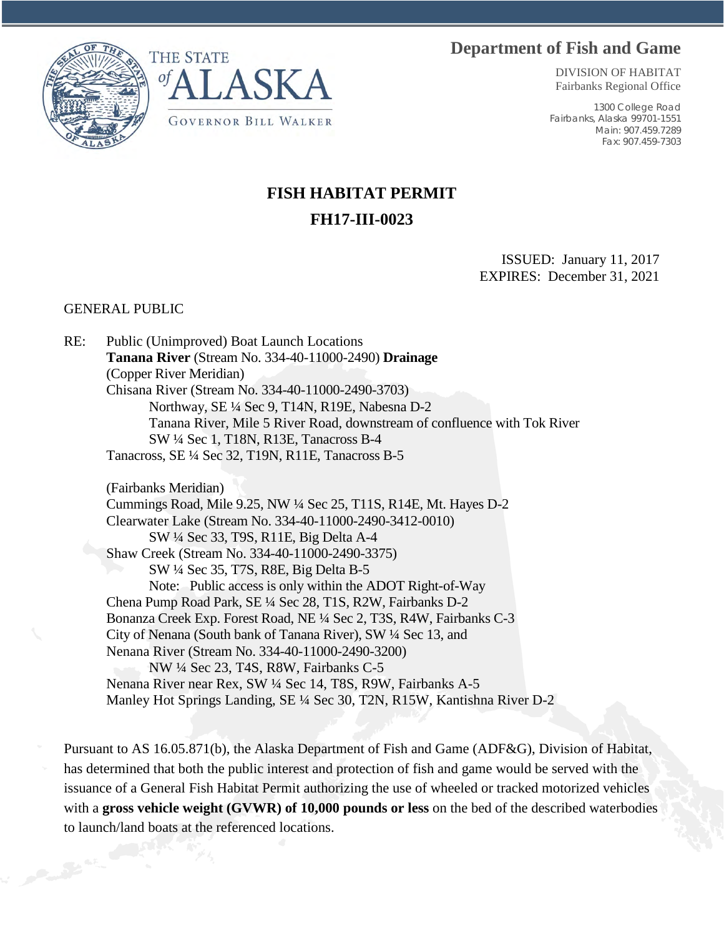## **Department of Fish and Game**





DIVISION OF HABITAT Fairbanks Regional Office

1300 College Road Fairbanks, Alaska 99701-1551 Main: 907.459.7289 Fax: 907.459-7303

## **FISH HABITAT PERMIT FH17-III-0023**

ISSUED: January 11, 2017 EXPIRES: December 31, 2021

## GENERAL PUBLIC

RE: Public (Unimproved) Boat Launch Locations **Tanana River** (Stream No. 334-40-11000-2490) **Drainage** (Copper River Meridian) Chisana River (Stream No. 334-40-11000-2490-3703) Northway, SE ¼ Sec 9, T14N, R19E, Nabesna D-2 Tanana River, Mile 5 River Road, downstream of confluence with Tok River SW ¼ Sec 1, T18N, R13E, Tanacross B-4 Tanacross, SE ¼ Sec 32, T19N, R11E, Tanacross B-5

(Fairbanks Meridian) Cummings Road, Mile 9.25, NW ¼ Sec 25, T11S, R14E, Mt. Hayes D-2 Clearwater Lake (Stream No. 334-40-11000-2490-3412-0010) SW ¼ Sec 33, T9S, R11E, Big Delta A-4 Shaw Creek (Stream No. 334-40-11000-2490-3375) SW ¼ Sec 35, T7S, R8E, Big Delta B-5 Note: Public access is only within the ADOT Right-of-Way Chena Pump Road Park, SE ¼ Sec 28, T1S, R2W, Fairbanks D-2 Bonanza Creek Exp. Forest Road, NE ¼ Sec 2, T3S, R4W, Fairbanks C-3 City of Nenana (South bank of Tanana River), SW ¼ Sec 13, and Nenana River (Stream No. 334-40-11000-2490-3200) NW ¼ Sec 23, T4S, R8W, Fairbanks C-5 Nenana River near Rex, SW ¼ Sec 14, T8S, R9W, Fairbanks A-5 Manley Hot Springs Landing, SE ¼ Sec 30, T2N, R15W, Kantishna River D-2

Pursuant to AS 16.05.871(b), the Alaska Department of Fish and Game (ADF&G), Division of Habitat, has determined that both the public interest and protection of fish and game would be served with the issuance of a General Fish Habitat Permit authorizing the use of wheeled or tracked motorized vehicles with a **gross vehicle weight (GVWR) of 10,000 pounds or less** on the bed of the described waterbodies to launch/land boats at the referenced locations.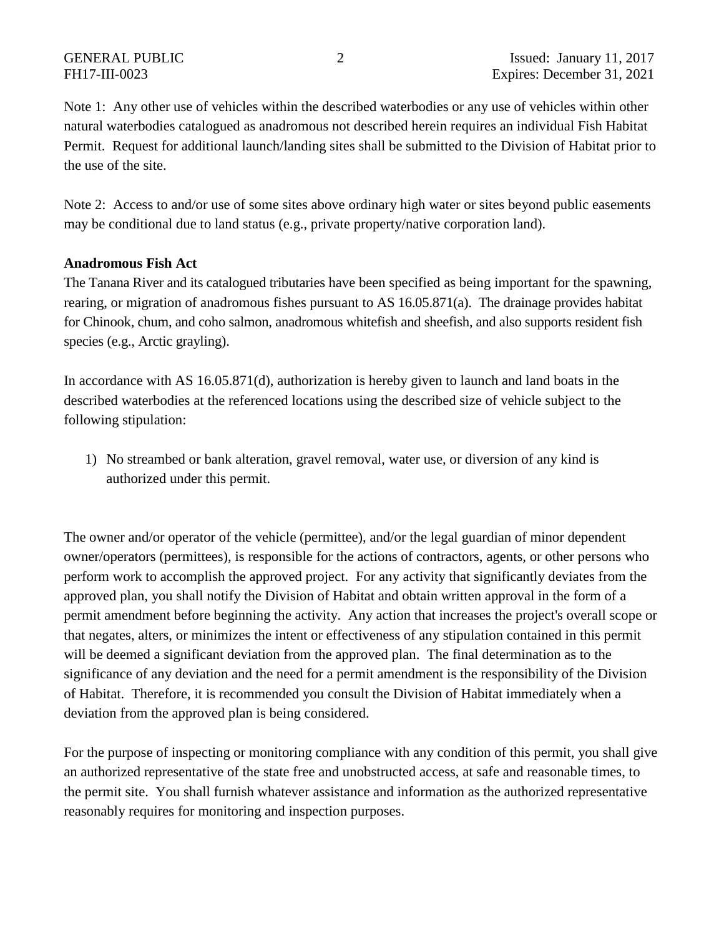Note 1: Any other use of vehicles within the described waterbodies or any use of vehicles within other natural waterbodies catalogued as anadromous not described herein requires an individual Fish Habitat Permit. Request for additional launch/landing sites shall be submitted to the Division of Habitat prior to the use of the site.

Note 2: Access to and/or use of some sites above ordinary high water or sites beyond public easements may be conditional due to land status (e.g., private property/native corporation land).

## **Anadromous Fish Act**

The Tanana River and its catalogued tributaries have been specified as being important for the spawning, rearing, or migration of anadromous fishes pursuant to AS 16.05.871(a). The drainage provides habitat for Chinook, chum, and coho salmon, anadromous whitefish and sheefish, and also supports resident fish species (e.g., Arctic grayling).

In accordance with AS 16.05.871(d), authorization is hereby given to launch and land boats in the described waterbodies at the referenced locations using the described size of vehicle subject to the following stipulation:

1) No streambed or bank alteration, gravel removal, water use, or diversion of any kind is authorized under this permit.

The owner and/or operator of the vehicle (permittee), and/or the legal guardian of minor dependent owner/operators (permittees), is responsible for the actions of contractors, agents, or other persons who perform work to accomplish the approved project. For any activity that significantly deviates from the approved plan, you shall notify the Division of Habitat and obtain written approval in the form of a permit amendment before beginning the activity. Any action that increases the project's overall scope or that negates, alters, or minimizes the intent or effectiveness of any stipulation contained in this permit will be deemed a significant deviation from the approved plan. The final determination as to the significance of any deviation and the need for a permit amendment is the responsibility of the Division of Habitat. Therefore, it is recommended you consult the Division of Habitat immediately when a deviation from the approved plan is being considered.

For the purpose of inspecting or monitoring compliance with any condition of this permit, you shall give an authorized representative of the state free and unobstructed access, at safe and reasonable times, to the permit site. You shall furnish whatever assistance and information as the authorized representative reasonably requires for monitoring and inspection purposes.